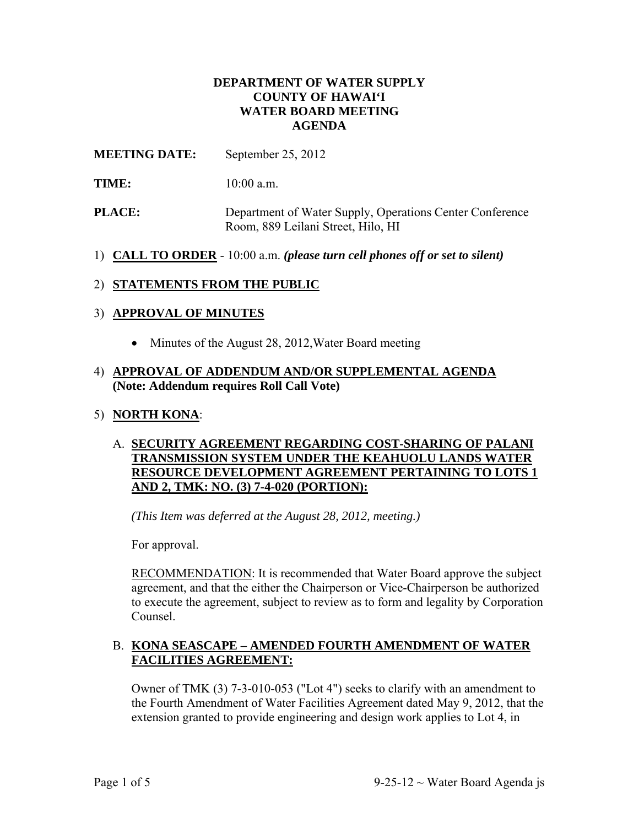### **DEPARTMENT OF WATER SUPPLY COUNTY OF HAWAI'I WATER BOARD MEETING AGENDA**

## **MEETING DATE:** September 25, 2012

- **TIME:** 10:00 a.m.
- **PLACE:** Department of Water Supply, Operations Center Conference Room, 889 Leilani Street, Hilo, HI
- 1) **CALL TO ORDER** 10:00 a.m. *(please turn cell phones off or set to silent)*

## 2) **STATEMENTS FROM THE PUBLIC**

### 3) **APPROVAL OF MINUTES**

• Minutes of the August 28, 2012, Water Board meeting

### 4) **APPROVAL OF ADDENDUM AND/OR SUPPLEMENTAL AGENDA (Note: Addendum requires Roll Call Vote)**

### 5) **NORTH KONA**:

### A. **SECURITY AGREEMENT REGARDING COST-SHARING OF PALANI TRANSMISSION SYSTEM UNDER THE KEAHUOLU LANDS WATER RESOURCE DEVELOPMENT AGREEMENT PERTAINING TO LOTS 1 AND 2, TMK: NO. (3) 7-4-020 (PORTION):**

*(This Item was deferred at the August 28, 2012, meeting.)*

For approval.

RECOMMENDATION: It is recommended that Water Board approve the subject agreement, and that the either the Chairperson or Vice-Chairperson be authorized to execute the agreement, subject to review as to form and legality by Corporation Counsel.

### B. **KONA SEASCAPE – AMENDED FOURTH AMENDMENT OF WATER FACILITIES AGREEMENT:**

Owner of TMK (3) 7-3-010-053 ("Lot 4") seeks to clarify with an amendment to the Fourth Amendment of Water Facilities Agreement dated May 9, 2012, that the extension granted to provide engineering and design work applies to Lot 4, in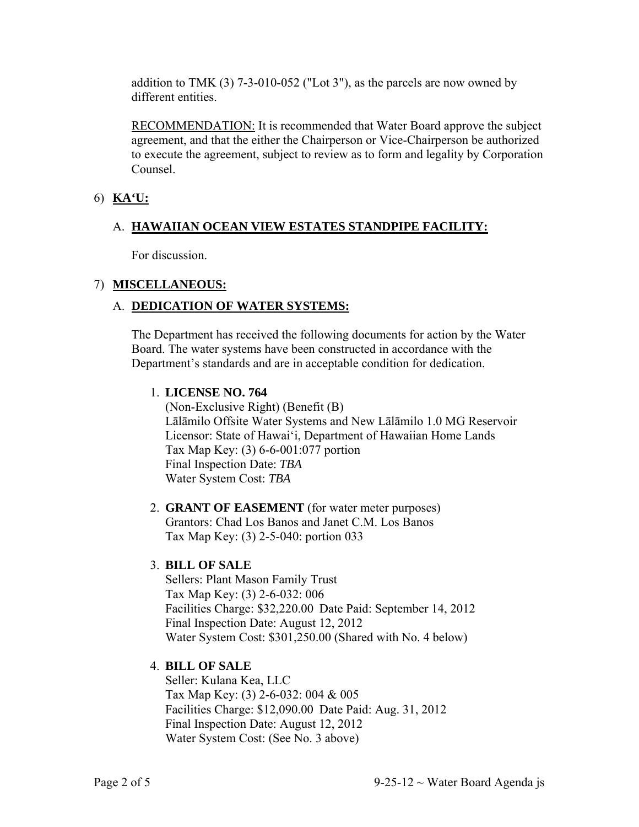addition to TMK (3) 7-3-010-052 ("Lot 3"), as the parcels are now owned by different entities.

RECOMMENDATION: It is recommended that Water Board approve the subject agreement, and that the either the Chairperson or Vice-Chairperson be authorized to execute the agreement, subject to review as to form and legality by Corporation Counsel.

## 6) **KA'U:**

## A. **HAWAIIAN OCEAN VIEW ESTATES STANDPIPE FACILITY:**

For discussion.

## 7) **MISCELLANEOUS:**

# A. **DEDICATION OF WATER SYSTEMS:**

The Department has received the following documents for action by the Water Board. The water systems have been constructed in accordance with the Department's standards and are in acceptable condition for dedication.

## 1. **LICENSE NO. 764**

(Non-Exclusive Right) (Benefit (B) Lālāmilo Offsite Water Systems and New Lālāmilo 1.0 MG Reservoir Licensor: State of Hawai'i, Department of Hawaiian Home Lands Tax Map Key: (3) 6-6-001:077 portion Final Inspection Date: *TBA* Water System Cost: *TBA*

#### 2. **GRANT OF EASEMENT** (for water meter purposes) Grantors: Chad Los Banos and Janet C.M. Los Banos Tax Map Key: (3) 2-5-040: portion 033

## 3. **BILL OF SALE**

Sellers: Plant Mason Family Trust Tax Map Key: (3) 2-6-032: 006 Facilities Charge: \$32,220.00 Date Paid: September 14, 2012 Final Inspection Date: August 12, 2012 Water System Cost: \$301,250.00 (Shared with No. 4 below)

## 4. **BILL OF SALE**

Seller: Kulana Kea, LLC Tax Map Key: (3) 2-6-032: 004 & 005 Facilities Charge: \$12,090.00 Date Paid: Aug. 31, 2012 Final Inspection Date: August 12, 2012 Water System Cost: (See No. 3 above)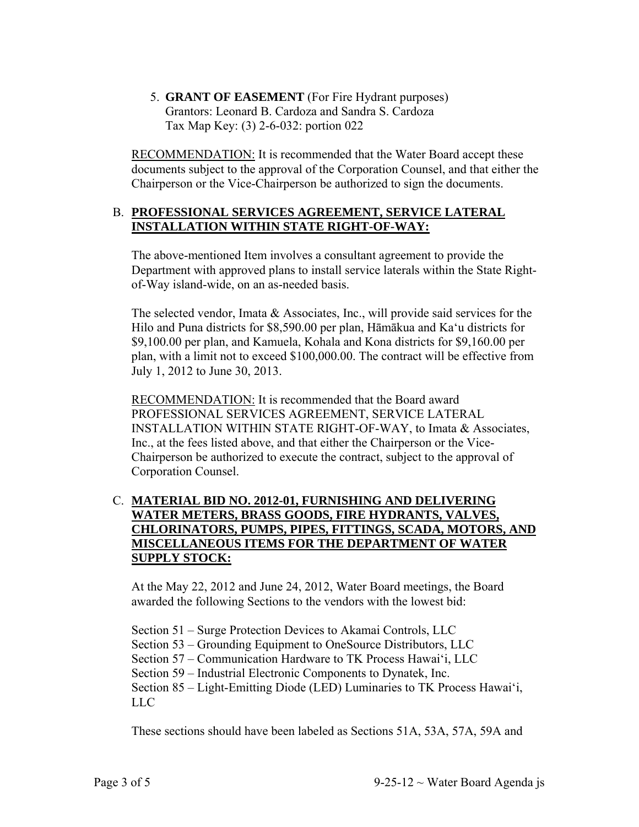5. **GRANT OF EASEMENT** (For Fire Hydrant purposes) Grantors: Leonard B. Cardoza and Sandra S. Cardoza Tax Map Key: (3) 2-6-032: portion 022

RECOMMENDATION: It is recommended that the Water Board accept these documents subject to the approval of the Corporation Counsel, and that either the Chairperson or the Vice-Chairperson be authorized to sign the documents.

### B. **PROFESSIONAL SERVICES AGREEMENT, SERVICE LATERAL INSTALLATION WITHIN STATE RIGHT-OF-WAY:**

The above-mentioned Item involves a consultant agreement to provide the Department with approved plans to install service laterals within the State Rightof-Way island-wide, on an as-needed basis.

The selected vendor, Imata & Associates, Inc., will provide said services for the Hilo and Puna districts for \$8,590.00 per plan, Hāmākua and Ka'u districts for \$9,100.00 per plan, and Kamuela, Kohala and Kona districts for \$9,160.00 per plan, with a limit not to exceed \$100,000.00. The contract will be effective from July 1, 2012 to June 30, 2013.

RECOMMENDATION: It is recommended that the Board award PROFESSIONAL SERVICES AGREEMENT, SERVICE LATERAL INSTALLATION WITHIN STATE RIGHT-OF-WAY, to Imata & Associates, Inc., at the fees listed above, and that either the Chairperson or the Vice-Chairperson be authorized to execute the contract, subject to the approval of Corporation Counsel.

## C. **MATERIAL BID NO. 2012-01, FURNISHING AND DELIVERING WATER METERS, BRASS GOODS, FIRE HYDRANTS, VALVES, CHLORINATORS, PUMPS, PIPES, FITTINGS, SCADA, MOTORS, AND MISCELLANEOUS ITEMS FOR THE DEPARTMENT OF WATER SUPPLY STOCK:**

At the May 22, 2012 and June 24, 2012, Water Board meetings, the Board awarded the following Sections to the vendors with the lowest bid:

Section 51 – Surge Protection Devices to Akamai Controls, LLC

Section 53 – Grounding Equipment to OneSource Distributors, LLC

Section 57 – Communication Hardware to TK Process Hawai'i, LLC

Section 59 – Industrial Electronic Components to Dynatek, Inc.

Section 85 – Light-Emitting Diode (LED) Luminaries to TK Process Hawai'i, LLC

These sections should have been labeled as Sections 51A, 53A, 57A, 59A and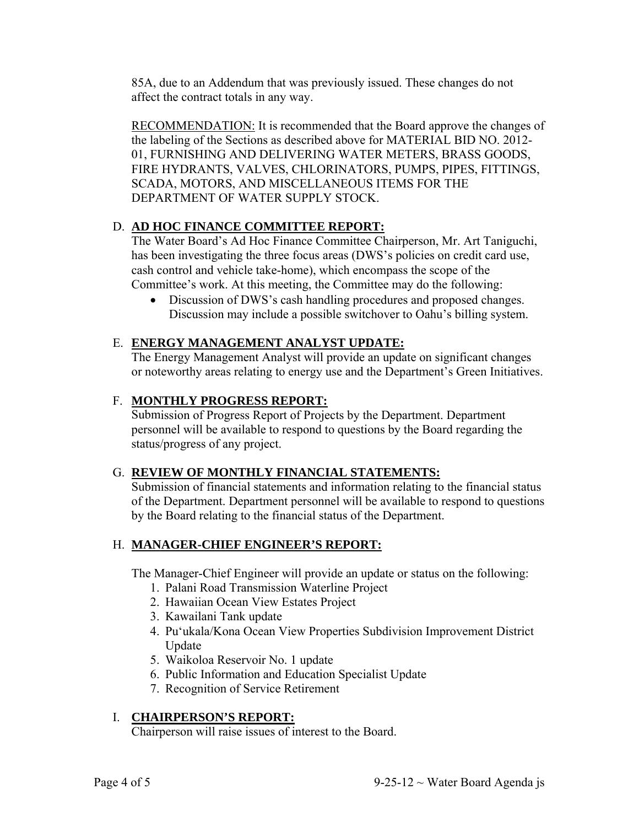85A, due to an Addendum that was previously issued. These changes do not affect the contract totals in any way.

RECOMMENDATION: It is recommended that the Board approve the changes of the labeling of the Sections as described above for MATERIAL BID NO. 2012- 01, FURNISHING AND DELIVERING WATER METERS, BRASS GOODS, FIRE HYDRANTS, VALVES, CHLORINATORS, PUMPS, PIPES, FITTINGS, SCADA, MOTORS, AND MISCELLANEOUS ITEMS FOR THE DEPARTMENT OF WATER SUPPLY STOCK.

## D. **AD HOC FINANCE COMMITTEE REPORT:**

The Water Board's Ad Hoc Finance Committee Chairperson, Mr. Art Taniguchi, has been investigating the three focus areas (DWS's policies on credit card use, cash control and vehicle take-home), which encompass the scope of the Committee's work. At this meeting, the Committee may do the following:

• Discussion of DWS's cash handling procedures and proposed changes. Discussion may include a possible switchover to Oahu's billing system.

### E. **ENERGY MANAGEMENT ANALYST UPDATE:**

The Energy Management Analyst will provide an update on significant changes or noteworthy areas relating to energy use and the Department's Green Initiatives.

### F. **MONTHLY PROGRESS REPORT:**

Submission of Progress Report of Projects by the Department. Department personnel will be available to respond to questions by the Board regarding the status/progress of any project.

### G. **REVIEW OF MONTHLY FINANCIAL STATEMENTS:**

Submission of financial statements and information relating to the financial status of the Department. Department personnel will be available to respond to questions by the Board relating to the financial status of the Department.

### H. **MANAGER-CHIEF ENGINEER'S REPORT:**

The Manager-Chief Engineer will provide an update or status on the following:

- 1. Palani Road Transmission Waterline Project
- 2. Hawaiian Ocean View Estates Project
- 3. Kawailani Tank update
- 4. Pu'ukala/Kona Ocean View Properties Subdivision Improvement District Update
- 5. Waikoloa Reservoir No. 1 update
- 6. Public Information and Education Specialist Update
- 7. Recognition of Service Retirement

### I. **CHAIRPERSON'S REPORT:**

Chairperson will raise issues of interest to the Board.